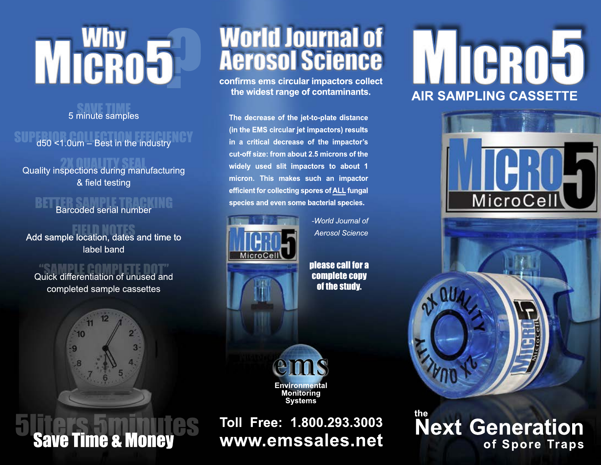# why<br>CRO5 MICRO5

5 minute samples

### d50 <1.0um – Best in the industry

Quality inspections during manufacturing

& field testing

### BETTER SAMPLE TRACKING<br>Barcoded serial number

Add sample location, dates and time to label band

## Quick differentiation of unused and

completed sample cassettes



**Save Time & Money** 

## World Journal of Aerosol Science

**confirms ems circular impactors collect the widest range of contaminants.**

The decrease of the jet-to-plate distance (in the EMS circular jet impactors) results in a critical decrease of the impactor's cut-off size: from about 2.5 microns of the widely used slit impactors to about 1 micron. This makes such an impactor efficient for collecting spores of ALL fungal species and even some bacterial species.



-World Journal of **Aerosol Science** 

please call for a complete copy of the study.



**Toll Free: 1.800.293.3003 www.emssales.net**

# MICROJ **AIR SAM P LING CA SSE TTE**





**the Next Generation of Spore Traps**